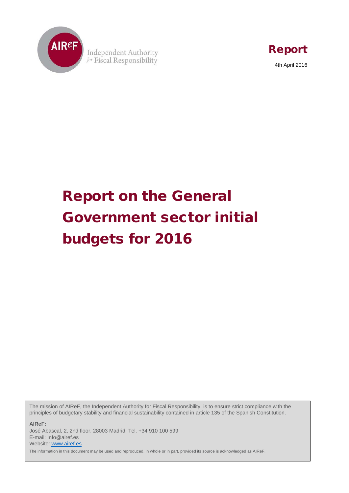

Independent Authority for Fiscal Responsibility



# Report on the General Government sector initial budgets for 2016

The mission of AIReF, the Independent Authority for Fiscal Responsibility, is to ensure strict compliance with the principles of budgetary stability and financial sustainability contained in article 135 of the Spanish Constitution.

**AIReF:** José Abascal, 2, 2nd floor. 28003 Madrid. Tel. +34 910 100 599 E-mail: Info@airef.es Website[: www.airef.es](http://www.airef.es/)  The information in this document may be used and reproduced, in whole or in part, provided its source is acknowledged as AIReF.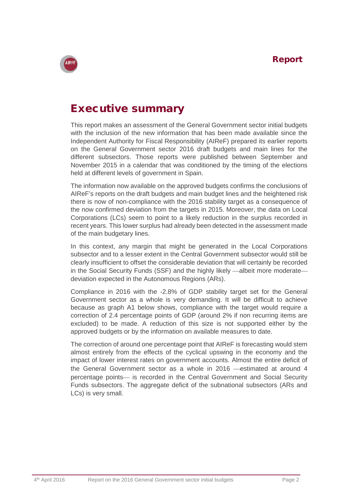

## Executive summary

This report makes an assessment of the General Government sector initial budgets with the inclusion of the new information that has been made available since the Independent Authority for Fiscal Responsibility (AIReF) prepared its earlier reports on the General Government sector 2016 draft budgets and main lines for the different subsectors. Those reports were published between September and November 2015 in a calendar that was conditioned by the timing of the elections held at different levels of government in Spain.

The information now available on the approved budgets confirms the conclusions of AIReF's reports on the draft budgets and main budget lines and the heightened risk there is now of non-compliance with the 2016 stability target as a consequence of the now confirmed deviation from the targets in 2015. Moreover, the data on Local Corporations (LCs) seem to point to a likely reduction in the surplus recorded in recent years. This lower surplus had already been detected in the assessment made of the main budgetary lines.

In this context, any margin that might be generated in the Local Corporations subsector and to a lesser extent in the Central Government subsector would still be clearly insufficient to offset the considerable deviation that will certainly be recorded in the Social Security Funds (SSF) and the highly likely —albeit more moderate deviation expected in the Autonomous Regions (ARs).

Compliance in 2016 with the -2.8% of GDP stability target set for the General Government sector as a whole is very demanding. It will be difficult to achieve because as graph A1 below shows, compliance with the target would require a correction of 2.4 percentage points of GDP (around 2% if non recurring items are excluded) to be made. A reduction of this size is not supported either by the approved budgets or by the information on available measures to date.

The correction of around one percentage point that AIReF is forecasting would stem almost entirely from the effects of the cyclical upswing in the economy and the impact of lower interest rates on government accounts. Almost the entire deficit of the General Government sector as a whole in  $2016$  -estimated at around 4 percentage points— is recorded in the Central Government and Social Security Funds subsectors. The aggregate deficit of the subnational subsectors (ARs and LCs) is very small.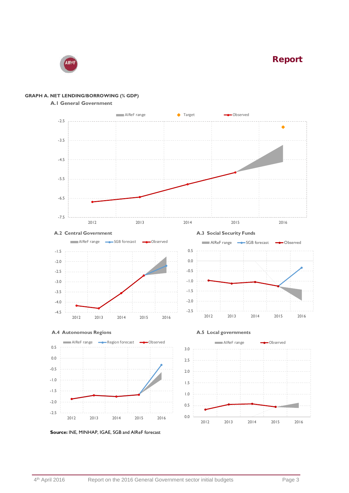AIRe

#### **GRAPH A. NET LENDING/BORROWING (% GDP)**

#### **A.1 General Government**





 **A.4 Autonomous Regions A.5 Local governments**











**Source:** INE, MINHAP, IGAE, SGB and AIReF forecast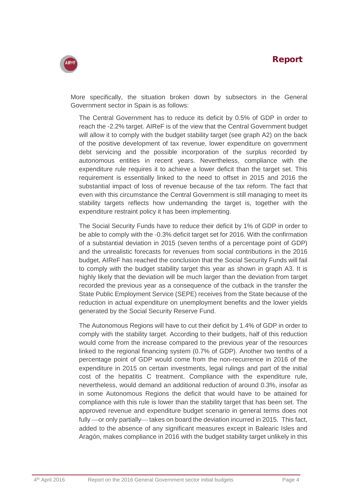

More specifically, the situation broken down by subsectors in the General Government sector in Spain is as follows:

The Central Government has to reduce its deficit by 0.5% of GDP in order to reach the -2.2% target. AIReF is of the view that the Central Government budget will allow it to comply with the budget stability target (see graph A2) on the back of the positive development of tax revenue, lower expenditure on government debt servicing and the possible incorporation of the surplus recorded by autonomous entities in recent years. Nevertheless, compliance with the expenditure rule requires it to achieve a lower deficit than the target set. This requirement is essentially linked to the need to offset in 2015 and 2016 the substantial impact of loss of revenue because of the tax reform. The fact that even with this circumstance the Central Government is still managing to meet its stability targets reflects how undemanding the target is, together with the expenditure restraint policy it has been implementing.

The Social Security Funds have to reduce their deficit by 1% of GDP in order to be able to comply with the -0.3% deficit target set for 2016. With the confirmation of a substantial deviation in 2015 (seven tenths of a percentage point of GDP) and the unrealistic forecasts for revenues from social contributions in the 2016 budget, AIReF has reached the conclusion that the Social Security Funds will fail to comply with the budget stability target this year as shown in graph A3. It is highly likely that the deviation will be much larger than the deviation from target recorded the previous year as a consequence of the cutback in the transfer the State Public Employment Service (SEPE) receives from the State because of the reduction in actual expenditure on unemployment benefits and the lower yields generated by the Social Security Reserve Fund.

The Autonomous Regions will have to cut their deficit by 1.4% of GDP in order to comply with the stability target. According to their budgets, half of this reduction would come from the increase compared to the previous year of the resources linked to the regional financing system (0.7% of GDP). Another two tenths of a percentage point of GDP would come from the non-recurrence in 2016 of the expenditure in 2015 on certain investments, legal rulings and part of the initial cost of the hepatitis C treatment. Compliance with the expenditure rule, nevertheless, would demand an additional reduction of around 0.3%, insofar as in some Autonomous Regions the deficit that would have to be attained for compliance with this rule is lower than the stability target that has been set. The approved revenue and expenditure budget scenario in general terms does not fully —or only partially— takes on board the deviation incurred in 2015. This fact, added to the absence of any significant measures except in Balearic Isles and Aragón, makes compliance in 2016 with the budget stability target unlikely in this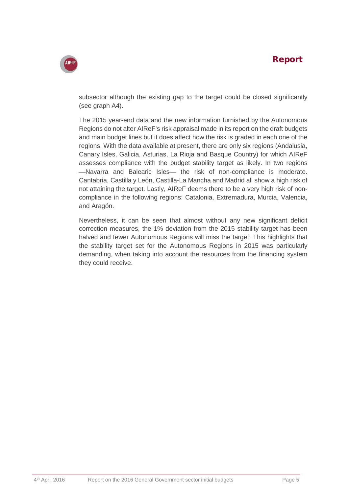AIRe

subsector although the existing gap to the target could be closed significantly (see graph A4).

The 2015 year-end data and the new information furnished by the Autonomous Regions do not alter AIReF's risk appraisal made in its report on the draft budgets and main budget lines but it does affect how the risk is graded in each one of the regions. With the data available at present, there are only six regions (Andalusia, Canary Isles, Galicia, Asturias, La Rioja and Basque Country) for which AIReF assesses compliance with the budget stability target as likely. In two regions  $-$ Navarra and Balearic Isles $-$  the risk of non-compliance is moderate. Cantabria, Castilla y León, Castilla-La Mancha and Madrid all show a high risk of not attaining the target. Lastly, AIReF deems there to be a very high risk of noncompliance in the following regions: Catalonia, Extremadura, Murcia, Valencia, and Aragón.

Nevertheless, it can be seen that almost without any new significant deficit correction measures, the 1% deviation from the 2015 stability target has been halved and fewer Autonomous Regions will miss the target. This highlights that the stability target set for the Autonomous Regions in 2015 was particularly demanding, when taking into account the resources from the financing system they could receive.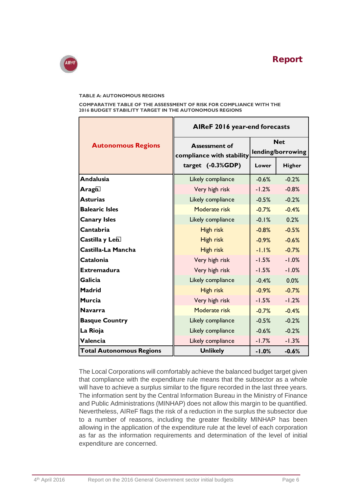

#### **TABLE A: AUTONOMOUS REGIONS**

**COMPARATIVE TABLE OF THE ASSESSMENT OF RISK FOR COMPLIANCE WITH THE 2016 BUDGET STABILITY TARGET IN THE AUTONOMOUS REGIONS**

| <b>Autonomous Regions</b>       | AIReF 2016 year-end forecasts                                            |                                 |         |
|---------------------------------|--------------------------------------------------------------------------|---------------------------------|---------|
|                                 | <b>Assessment of</b><br>compliance with stability<br>target $(-0.3%GDP)$ | <b>Net</b><br>lending/borrowing |         |
|                                 |                                                                          | Lower                           | Higher  |
| <b>Andalusia</b>                | Likely compliance                                                        | $-0.6%$                         | $-0.2%$ |
| Aragó                           | Very high risk                                                           | $-1.2%$                         | $-0.8%$ |
| <b>Asturias</b>                 | Likely compliance                                                        | $-0.5%$                         | $-0.2%$ |
| <b>Balearic Isles</b>           | Moderate risk                                                            | $-0.7%$                         | $-0.4%$ |
| <b>Canary Isles</b>             | Likely compliance                                                        | $-0.1%$                         | 0.2%    |
| Cantabria                       | High risk                                                                | $-0.8\%$                        | $-0.5%$ |
| Castilla y Leó                  | High risk                                                                | $-0.9\%$                        | $-0.6%$ |
| Castilla-La Mancha              | <b>High risk</b>                                                         | $-1.1%$                         | $-0.7%$ |
| <b>Catalonia</b>                | Very high risk                                                           | $-1.5%$                         | $-1.0%$ |
| <b>Extremadura</b>              | Very high risk                                                           | $-1.5%$                         | $-1.0%$ |
| <b>Galicia</b>                  | Likely compliance                                                        | $-0.4%$                         | 0.0%    |
| <b>Madrid</b>                   | High risk                                                                | $-0.9%$                         | $-0.7%$ |
| <b>Murcia</b>                   | Very high risk                                                           | $-1.5%$                         | $-1.2%$ |
| <b>Navarra</b>                  | Moderate risk                                                            | $-0.7%$                         | $-0.4%$ |
| <b>Basque Country</b>           | Likely compliance                                                        | $-0.5%$                         | $-0.2%$ |
| La Rioja                        | Likely compliance                                                        | $-0.6%$                         | $-0.2%$ |
| Valencia                        | Likely compliance                                                        | $-1.7%$                         | $-1.3%$ |
| <b>Total Autonomous Regions</b> | <b>Unlikely</b>                                                          | $-1.0%$                         | $-0.6%$ |

The Local Corporations will comfortably achieve the balanced budget target given that compliance with the expenditure rule means that the subsector as a whole will have to achieve a surplus similar to the figure recorded in the last three years. The information sent by the Central Information Bureau in the Ministry of Finance and Public Administrations (MINHAP) does not allow this margin to be quantified. Nevertheless, AIReF flags the risk of a reduction in the surplus the subsector due to a number of reasons, including the greater flexibility MINHAP has been allowing in the application of the expenditure rule at the level of each corporation as far as the information requirements and determination of the level of initial expenditure are concerned.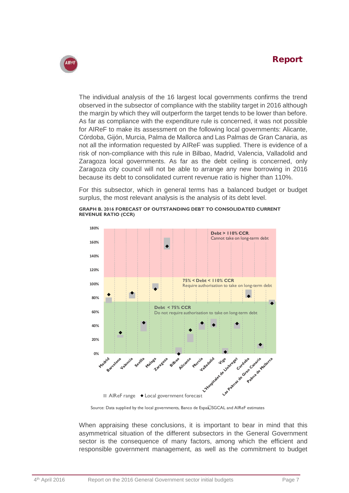

The individual analysis of the 16 largest local governments confirms the trend observed in the subsector of compliance with the stability target in 2016 although the margin by which they will outperform the target tends to be lower than before. As far as compliance with the expenditure rule is concerned, it was not possible for AIReF to make its assessment on the following local governments: Alicante, Córdoba, Gijón, Murcia, Palma de Mallorca and Las Palmas de Gran Canaria, as not all the information requested by AIReF was supplied. There is evidence of a risk of non-compliance with this rule in Bilbao, Madrid, Valencia, Valladolid and Zaragoza local governments. As far as the debt ceiling is concerned, only Zaragoza city council will not be able to arrange any new borrowing in 2016 because its debt to consolidated current revenue ratio is higher than 110%.

For this subsector, which in general terms has a balanced budget or budget surplus, the most relevant analysis is the analysis of its debt level.





Source: Data supplied by the local governments, Banco de España SGCAL and AIReF estimates

When appraising these conclusions, it is important to bear in mind that this asymmetrical situation of the different subsectors in the General Government sector is the consequence of many factors, among which the efficient and responsible government management, as well as the commitment to budget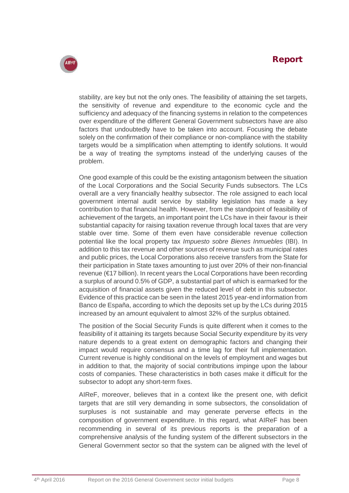

stability, are key but not the only ones. The feasibility of attaining the set targets, the sensitivity of revenue and expenditure to the economic cycle and the sufficiency and adequacy of the financing systems in relation to the competences over expenditure of the different General Government subsectors have are also factors that undoubtedly have to be taken into account. Focusing the debate solely on the confirmation of their compliance or non-compliance with the stability targets would be a simplification when attempting to identify solutions. It would be a way of treating the symptoms instead of the underlying causes of the problem.

One good example of this could be the existing antagonism between the situation of the Local Corporations and the Social Security Funds subsectors. The LCs overall are a very financially healthy subsector. The role assigned to each local government internal audit service by stability legislation has made a key contribution to that financial health. However, from the standpoint of feasibility of achievement of the targets, an important point the LCs have in their favour is their substantial capacity for raising taxation revenue through local taxes that are very stable over time. Some of them even have considerable revenue collection potential like the local property tax *Impuesto sobre Bienes Inmuebles* (IBI). In addition to this tax revenue and other sources of revenue such as municipal rates and public prices, the Local Corporations also receive transfers from the State for their participation in State taxes amounting to just over 20% of their non-financial revenue (€17 billion). In recent years the Local Corporations have been recording a surplus of around 0.5% of GDP, a substantial part of which is earmarked for the acquisition of financial assets given the reduced level of debt in this subsector. Evidence of this practice can be seen in the latest 2015 year-end information from Banco de España, according to which the deposits set up by the LCs during 2015 increased by an amount equivalent to almost 32% of the surplus obtained.

The position of the Social Security Funds is quite different when it comes to the feasibility of it attaining its targets because Social Security expenditure by its very nature depends to a great extent on demographic factors and changing their impact would require consensus and a time lag for their full implementation. Current revenue is highly conditional on the levels of employment and wages but in addition to that, the majority of social contributions impinge upon the labour costs of companies. These characteristics in both cases make it difficult for the subsector to adopt any short-term fixes.

AIReF, moreover, believes that in a context like the present one, with deficit targets that are still very demanding in some subsectors, the consolidation of surpluses is not sustainable and may generate perverse effects in the composition of government expenditure. In this regard, what AIReF has been recommending in several of its previous reports is the preparation of a comprehensive analysis of the funding system of the different subsectors in the General Government sector so that the system can be aligned with the level of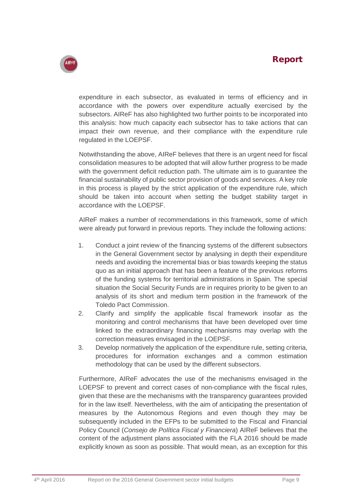

expenditure in each subsector, as evaluated in terms of efficiency and in accordance with the powers over expenditure actually exercised by the subsectors. AIReF has also highlighted two further points to be incorporated into this analysis: how much capacity each subsector has to take actions that can impact their own revenue, and their compliance with the expenditure rule regulated in the LOEPSF.

Notwithstanding the above, AIReF believes that there is an urgent need for fiscal consolidation measures to be adopted that will allow further progress to be made with the government deficit reduction path. The ultimate aim is to guarantee the financial sustainability of public sector provision of goods and services. A key role in this process is played by the strict application of the expenditure rule, which should be taken into account when setting the budget stability target in accordance with the LOEPSF.

AIReF makes a number of recommendations in this framework, some of which were already put forward in previous reports. They include the following actions:

- 1. Conduct a joint review of the financing systems of the different subsectors in the General Government sector by analysing in depth their expenditure needs and avoiding the incremental bias or bias towards keeping the status quo as an initial approach that has been a feature of the previous reforms of the funding systems for territorial administrations in Spain. The special situation the Social Security Funds are in requires priority to be given to an analysis of its short and medium term position in the framework of the Toledo Pact Commission.
- 2. Clarify and simplify the applicable fiscal framework insofar as the monitoring and control mechanisms that have been developed over time linked to the extraordinary financing mechanisms may overlap with the correction measures envisaged in the LOEPSF.
- 3. Develop normatively the application of the expenditure rule, setting criteria, procedures for information exchanges and a common estimation methodology that can be used by the different subsectors.

Furthermore, AIReF advocates the use of the mechanisms envisaged in the LOEPSF to prevent and correct cases of non-compliance with the fiscal rules, given that these are the mechanisms with the transparency guarantees provided for in the law itself. Nevertheless, with the aim of anticipating the presentation of measures by the Autonomous Regions and even though they may be subsequently included in the EFPs to be submitted to the Fiscal and Financial Policy Council (*Consejo de Política Fiscal y Financiera*) AIReF believes that the content of the adjustment plans associated with the FLA 2016 should be made explicitly known as soon as possible. That would mean, as an exception for this